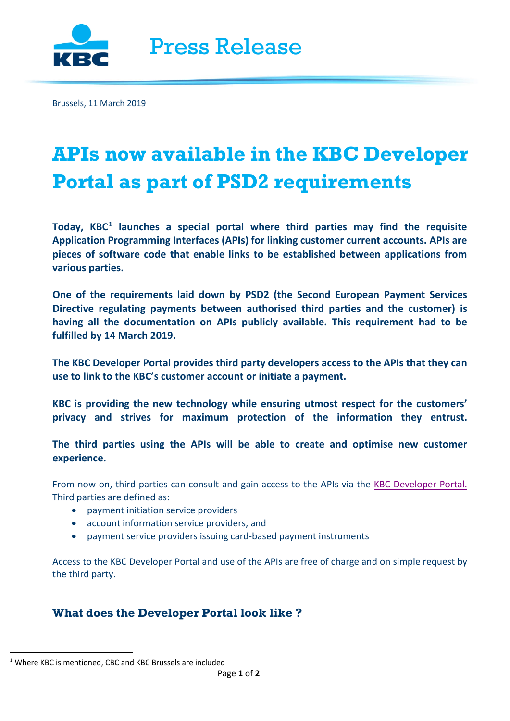

Brussels, 11 March 2019

## **APIs now available in the KBC Developer Portal as part of PSD2 requirements**

**Today, KBC[1](#page-0-0) launches a special portal where third parties may find the requisite Application Programming Interfaces (APIs) for linking customer current accounts. APIs are pieces of software code that enable links to be established between applications from various parties.**

**One of the requirements laid down by PSD2 (the Second European Payment Services Directive regulating payments between authorised third parties and the customer) is having all the documentation on APIs publicly available. This requirement had to be fulfilled by 14 March 2019.** 

**The KBC Developer Portal provides third party developers access to the APIs that they can use to link to the KBC's customer account or initiate a payment.** 

**KBC is providing the new technology while ensuring utmost respect for the customers' privacy and strives for maximum protection of the information they entrust.** 

**The third parties using the APIs will be able to create and optimise new customer experience.** 

From now on, third parties can consult and gain access to the APIs via the [KBC Developer Portal.](https://developer.kbc-group.com/content/developer/kbc-be/en.html) Third parties are defined as:

- payment initiation service providers
- account information service providers, and
- payment service providers issuing card-based payment instruments

Access to the KBC Developer Portal and use of the APIs are free of charge and on simple request by the third party.

## **What does the Developer Portal look like ?**

<span id="page-0-0"></span> <sup>1</sup> Where KBC is mentioned, CBC and KBC Brussels are included